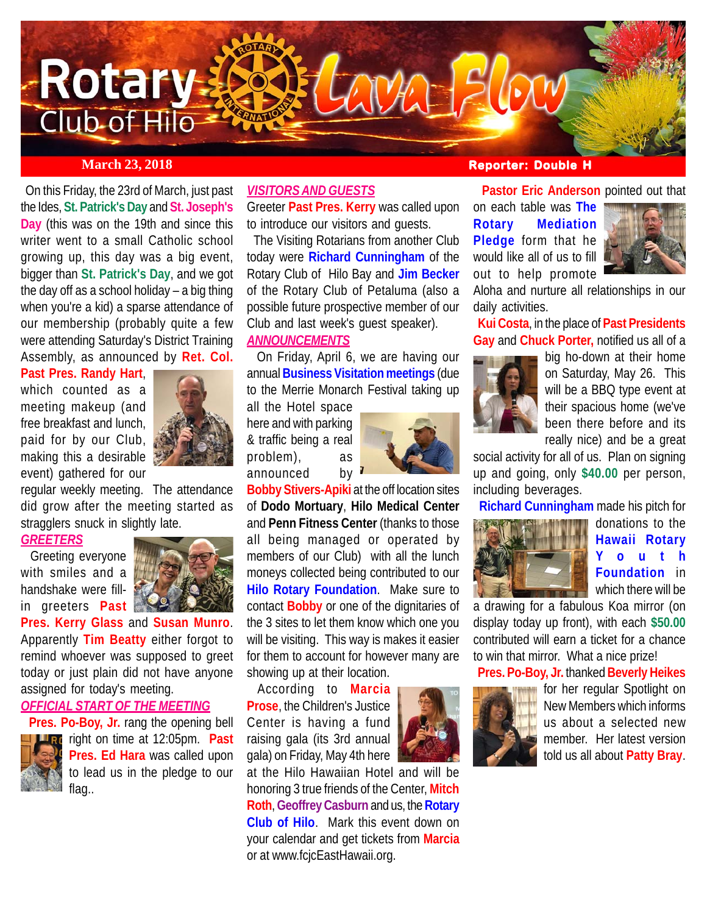

 On this Friday, the 23rd of March, just past the Ides, **St. Patrick's Day** and **St. Joseph's Day** (this was on the 19th and since this writer went to a small Catholic school growing up, this day was a big event, bigger than **St. Patrick's Day**, and we got the day off as a school holiday – a big thing when you're a kid) a sparse attendance of our membership (probably quite a few were attending Saturday's District Training Assembly, as announced by **Ret. Col.**

**Past Pres. Randy Hart**, which counted as a meeting makeup (and free breakfast and lunch, paid for by our Club, making this a desirable event) gathered for our



regular weekly meeting. The attendance did grow after the meeting started as stragglers snuck in slightly late.

#### *GREETERS*

 Greeting everyone with smiles and a handshake were fillin greeters **Past**



**Pres. Kerry Glass** and **Susan Munro**. Apparently **Tim Beatty** either forgot to remind whoever was supposed to greet today or just plain did not have anyone assigned for today's meeting.

# *OFFICIAL START OF THE MEETING*

 **Pres. Po-Boy, Jr.** rang the opening bell **Fig.** right on time at 12:05pm. **Past Pres. Ed Hara** was called upon to lead us in the pledge to our flag..

### *VISITORS AND GUESTS*

Greeter **Past Pres. Kerry** was called upon to introduce our visitors and guests.

 The Visiting Rotarians from another Club today were **Richard Cunningham** of the Rotary Club of Hilo Bay and **Jim Becker** of the Rotary Club of Petaluma (also a possible future prospective member of our Club and last week's guest speaker).

#### *ANNOUNCEMENTS*

 On Friday, April 6, we are having our annual **Business Visitation meetings** (due to the Merrie Monarch Festival taking up

all the Hotel space here and with parking & traffic being a real problem), as announced by



**Bobby Stivers-Apiki** at the off location sites of **Dodo Mortuary**, **Hilo Medical Center** and **Penn Fitness Center** (thanks to those all being managed or operated by members of our Club) with all the lunch moneys collected being contributed to our **Hilo Rotary Foundation**. Make sure to contact **Bobby** or one of the dignitaries of the 3 sites to let them know which one you will be visiting. This way is makes it easier for them to account for however many are showing up at their location.

According to **Marcia Prose**, the Children's Justice Center is having a fund raising gala (its 3rd annual gala) on Friday, May 4th here

at the Hilo Hawaiian Hotel and will be honoring 3 true friends of the Center, **Mitch Roth**, **Geoffrey Casburn** and us, the **Rotary Club of Hilo**. Mark this event down on your calendar and get tickets from **Marcia** or at www.fcjcEastHawaii.org.

# **March 23, 2018 Reporter: Double H**

out to help promote

 **Pastor Eric Anderson** pointed out that on each table was **The Rotary Mediation Pledge** form that he



Aloha and nurture all relationships in our daily activities.

 **Kui Costa**, in the place of **Past Presidents Gay** and **Chuck Porter,** notified us all of a



big ho-down at their home on Saturday, May 26. This will be a BBQ type event at their spacious home (we've been there before and its really nice) and be a great

social activity for all of us. Plan on signing up and going, only **\$40.00** per person, including beverages.

**Richard Cunningham** made his pitch for



donations to the **Hawaii Rotary Youth Foundation** in which there will be

a drawing for a fabulous Koa mirror (on display today up front), with each **\$50.00** contributed will earn a ticket for a chance to win that mirror. What a nice prize!

## **Pres. Po-Boy, Jr.** thanked **Beverly Heikes**



for her regular Spotlight on New Members which informs us about a selected new member. Her latest version told us all about **Patty Bray**.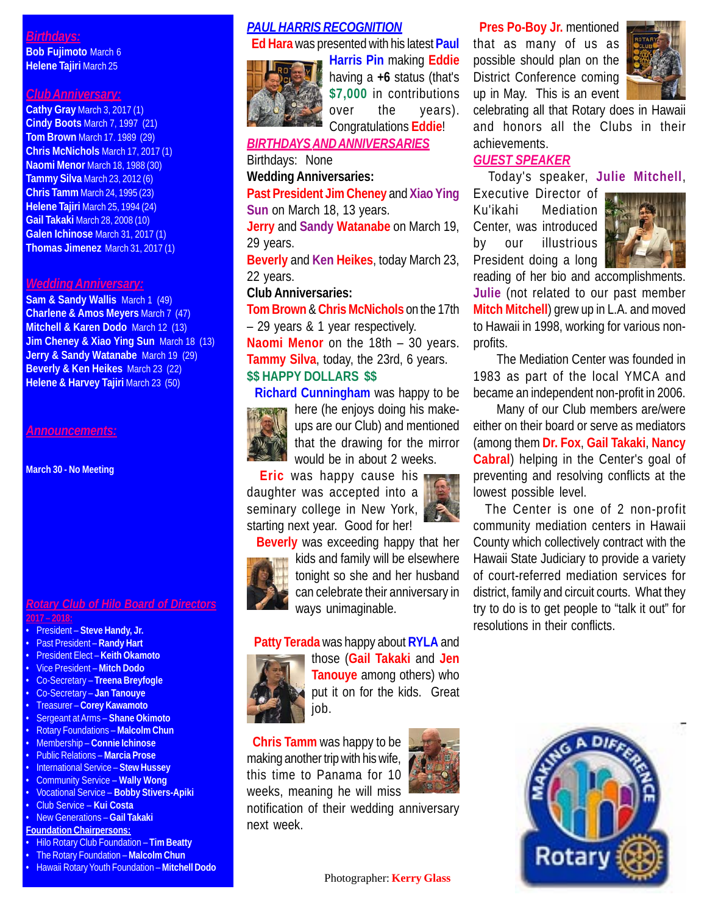# *Birthdays:*

**Bob Fujimoto** March 6 **Helene Tajiri** March 25

# *Club Anniversary:*

**Cathy Gray** March 3, 2017 (1) **Cindy Boots** March 7, 1997 (21) **Tom Brown** March 17. 1989 (29) **Chris McNichols** March 17, 2017 (1) **Naomi Menor** March 18, 1988 (30) **Tammy Silva** March 23, 2012 (6) **Chris Tamm** March 24, 1995 (23) **Helene Tajiri** March 25, 1994 (24) **Gail Takaki** March 28, 2008 (10) **Galen Ichinose** March 31, 2017 (1) **Thomas Jimenez** March 31, 2017 (1)

#### *Wedding Anniversary:*

**Sam & Sandy Wallis** March 1 (49) **Charlene & Amos Meyers** March 7 (47) **Mitchell & Karen Dodo** March 12 (13) **Jim Cheney & Xiao Ying Sun** March 18 (13) **Jerry & Sandy Watanabe** March 19 (29) **Beverly & Ken Heikes** March 23 (22) **Helene & Harvey Tajiri** March 23 (50)

#### *Announcements:*

**March 30 - No Meeting**

#### *Rotary Club of Hilo Board of Directors* **2017 – 2018:**

- President **Steve Handy, Jr.**
- Past President **Randy Hart**
- President Elect **Keith Okamoto**
- Vice President **Mitch Dodo**
- Co-Secretary **Treena Breyfogle**
- Co-Secretary **Jan Tanouye**
- Treasurer **Corey Kawamoto**
- Sergeant at Arms **Shane Okimoto**
- Rotary Foundations **Malcolm Chun**
- Membership **Connie Ichinose** • Public Relations – **Marcia Prose**
- International Service **Stew Hussey**
- Community Service **Wally Wong**
- Vocational Service **Bobby Stivers-Apiki**
- Club Service **Kui Costa**
- New Generations **Gail Takaki**
- **Foundation Chairpersons:**
- Hilo Rotary Club Foundation **Tim Beatty**
- The Rotary Foundation **Malcolm Chun**
- Hawaii Rotary Youth Foundation **Mitchell Dodo**

# *PAUL HARRIS RECOGNITION*

 **Ed Hara** was presented with his latest **Paul**



**Harris Pin** making **Eddie** having a **+6** status (that's **\$7,000** in contributions over the years). Congratulations **Eddie**!

*BIRTHDAYS AND ANNIVERSARIES*

Birthdays: None

**Wedding Anniversaries:**

**Past President Jim Cheney** and **Xiao Ying Sun** on March 18, 13 years.

**Jerry** and **Sandy Watanabe** on March 19, 29 years.

**Beverly** and **Ken Heikes**, today March 23, 22 years.

# **Club Anniversaries:**

**Tom Brown** & **Chris McNichols** on the 17th – 29 years & 1 year respectively.

**Naomi Menor** on the 18th – 30 years. **Tammy Silva**, today, the 23rd, 6 years. **\$\$ HAPPY DOLLARS \$\$**

**Richard Cunningham** was happy to be



here (he enjoys doing his makeups are our Club) and mentioned that the drawing for the mirror would be in about 2 weeks.

 **Eric** was happy cause his daughter was accepted into a seminary college in New York, starting next year. Good for her!



 **Beverly** was exceeding happy that her kids and family will be elsewhere tonight so she and her husband can celebrate their anniversary in ways unimaginable.

#### **Patty Terada** was happy about **RYLA** and



those (**Gail Takaki** and **Jen Tanouye** among others) who put it on for the kids. Great job.

 **Chris Tamm** was happy to be making another trip with his wife, this time to Panama for 10 weeks, meaning he will miss

notification of their wedding anniversary next week.

 **Pres Po-Boy Jr.** mentioned that as many of us as possible should plan on the District Conference coming up in May. This is an event



celebrating all that Rotary does in Hawaii and honors all the Clubs in their achievements.

# *GUEST SPEAKER*

Today's speaker, **Julie Mitchell**,

Executive Director of Ku'ikahi Mediation Center, was introduced by our illustrious President doing a long



reading of her bio and accomplishments. **Julie** (not related to our past member **Mitch Mitchell**) grew up in L.A. and moved to Hawaii in 1998, working for various nonprofits.

The Mediation Center was founded in 1983 as part of the local YMCA and became an independent non-profit in 2006.

Many of our Club members are/were either on their board or serve as mediators (among them **Dr. Fox**, **Gail Takaki**, **Nancy Cabral**) helping in the Center's goal of preventing and resolving conflicts at the lowest possible level.

 The Center is one of 2 non-profit community mediation centers in Hawaii County which collectively contract with the Hawaii State Judiciary to provide a variety of court-referred mediation services for district, family and circuit courts. What they try to do is to get people to "talk it out" for resolutions in their conflicts.





Photographer: **Kerry Glass**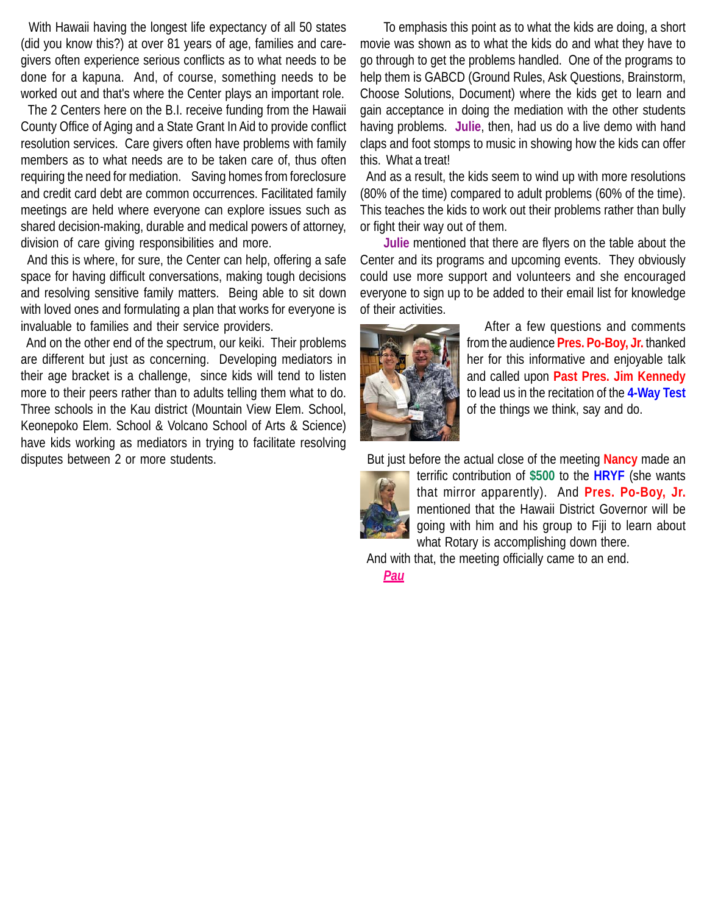With Hawaii having the longest life expectancy of all 50 states (did you know this?) at over 81 years of age, families and caregivers often experience serious conflicts as to what needs to be done for a kapuna. And, of course, something needs to be worked out and that's where the Center plays an important role.

 The 2 Centers here on the B.I. receive funding from the Hawaii County Office of Aging and a State Grant In Aid to provide conflict resolution services. Care givers often have problems with family members as to what needs are to be taken care of, thus often requiring the need for mediation. Saving homes from foreclosure and credit card debt are common occurrences. Facilitated family meetings are held where everyone can explore issues such as shared decision-making, durable and medical powers of attorney, division of care giving responsibilities and more.

 And this is where, for sure, the Center can help, offering a safe space for having difficult conversations, making tough decisions and resolving sensitive family matters. Being able to sit down with loved ones and formulating a plan that works for everyone is invaluable to families and their service providers.

 And on the other end of the spectrum, our keiki. Their problems are different but just as concerning. Developing mediators in their age bracket is a challenge, since kids will tend to listen more to their peers rather than to adults telling them what to do. Three schools in the Kau district (Mountain View Elem. School, Keonepoko Elem. School & Volcano School of Arts & Science) have kids working as mediators in trying to facilitate resolving disputes between 2 or more students.

To emphasis this point as to what the kids are doing, a short movie was shown as to what the kids do and what they have to go through to get the problems handled. One of the programs to help them is GABCD (Ground Rules, Ask Questions, Brainstorm, Choose Solutions, Document) where the kids get to learn and gain acceptance in doing the mediation with the other students having problems. **Julie**, then, had us do a live demo with hand claps and foot stomps to music in showing how the kids can offer this. What a treat!

 And as a result, the kids seem to wind up with more resolutions (80% of the time) compared to adult problems (60% of the time). This teaches the kids to work out their problems rather than bully or fight their way out of them.

**Julie** mentioned that there are flyers on the table about the Center and its programs and upcoming events. They obviously could use more support and volunteers and she encouraged everyone to sign up to be added to their email list for knowledge of their activities.



After a few questions and comments from the audience **Pres. Po-Boy, Jr.** thanked her for this informative and enjoyable talk and called upon **Past Pres. Jim Kennedy** to lead us in the recitation of the **4-Way Test** of the things we think, say and do.

But just before the actual close of the meeting **Nancy** made an



terrific contribution of **\$500** to the **HRYF** (she wants that mirror apparently). And **Pres. Po-Boy, Jr.** mentioned that the Hawaii District Governor will be going with him and his group to Fiji to learn about what Rotary is accomplishing down there.

And with that, the meeting officially came to an end.

*Pau*